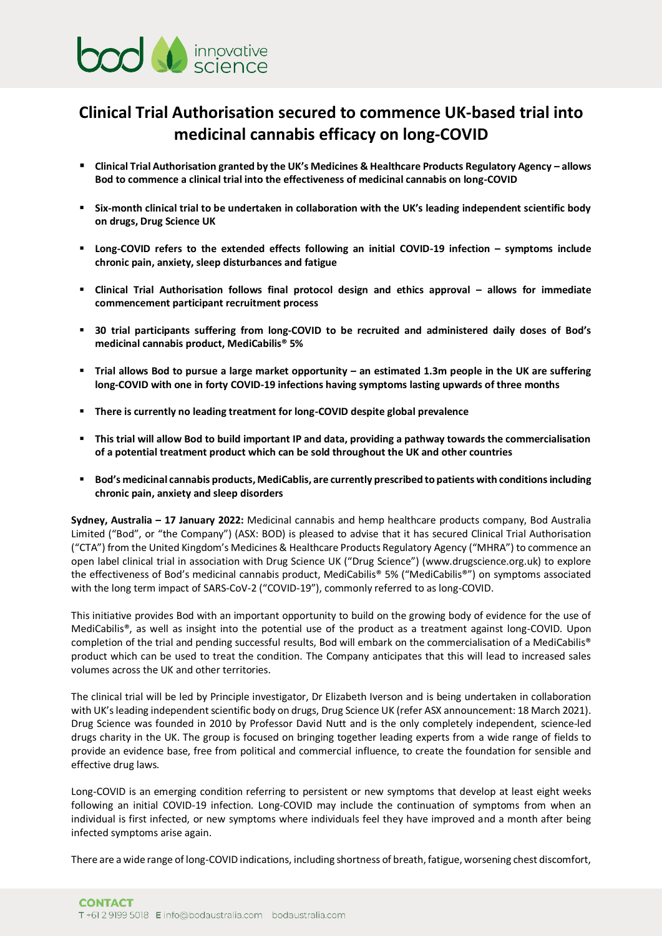

## **Clinical Trial Authorisation secured to commence UK-based trial into medicinal cannabis efficacy on long-COVID**

- **Clinical Trial Authorisation granted by the UK's Medicines & Healthcare Products Regulatory Agency – allows Bod to commence a clinical trial into the effectiveness of medicinal cannabis on long-COVID**
- **Six-month clinical trial to be undertaken in collaboration with the UK's leading independent scientific body on drugs, Drug Science UK**
- **EXECOVID refers to the extended effects following an initial COVID-19 infection symptoms include chronic pain, anxiety, sleep disturbances and fatigue**
- **Clinical Trial Authorisation follows final protocol design and ethics approval – allows for immediate commencement participant recruitment process**
- **30 trial participants suffering from long-COVID to be recruited and administered daily doses of Bod's medicinal cannabis product, MediCabilis® 5%**
- **Example 1 I** Trial allows Bod to pursue a large market opportunity an estimated 1.3m people in the UK are suffering **long-COVID with one in forty COVID-19 infections having symptoms lasting upwards of three months**
- **There is currently no leading treatment for long-COVID despite global prevalence**
- **This trial will allow Bod to build important IP and data, providing a pathway towards the commercialisation of a potential treatment product which can be sold throughout the UK and other countries**
- **Bod's medicinal cannabis products, MediCablis, are currently prescribed to patients with conditionsincluding chronic pain, anxiety and sleep disorders**

**Sydney, Australia – 17 January 2022:** Medicinal cannabis and hemp healthcare products company, Bod Australia Limited ("Bod", or "the Company") (ASX: BOD) is pleased to advise that it has secured Clinical Trial Authorisation ("CTA") from the United Kingdom's Medicines & Healthcare Products Regulatory Agency ("MHRA") to commence an open label clinical trial in association with Drug Science UK ("Drug Science") ([www.drugscience.org.uk\)](http://www.drugscience.org.uk/) to explore the effectiveness of Bod's medicinal cannabis product, MediCabilis® 5% ("MediCabilis®") on symptoms associated with the long term impact of SARS-CoV-2 ("COVID-19"), commonly referred to as long-COVID.

This initiative provides Bod with an important opportunity to build on the growing body of evidence for the use of MediCabilis®, as well as insight into the potential use of the product as a treatment against long-COVID. Upon completion of the trial and pending successful results, Bod will embark on the commercialisation of a MediCabilis® product which can be used to treat the condition. The Company anticipates that this will lead to increased sales volumes across the UK and other territories.

The clinical trial will be led by Principle investigator, Dr Elizabeth Iverson and is being undertaken in collaboration with UK's leading independent scientific body on drugs, Drug Science UK (refer ASX announcement: 18 March 2021). Drug Science was founded in 2010 by Professor David Nutt and is the only completely independent, science-led drugs charity in the UK. The group is focused on bringing together leading experts from a wide range of fields to provide an evidence base, free from political and commercial influence, to create the foundation for sensible and effective drug laws.

Long-COVID is an emerging condition referring to persistent or new symptoms that develop at least eight weeks following an initial COVID-19 infection. Long-COVID may include the continuation of symptoms from when an individual is first infected, or new symptoms where individuals feel they have improved and a month after being infected symptoms arise again.

There are a wide range of long-COVID indications, including shortness of breath, fatigue, worsening chest discomfort,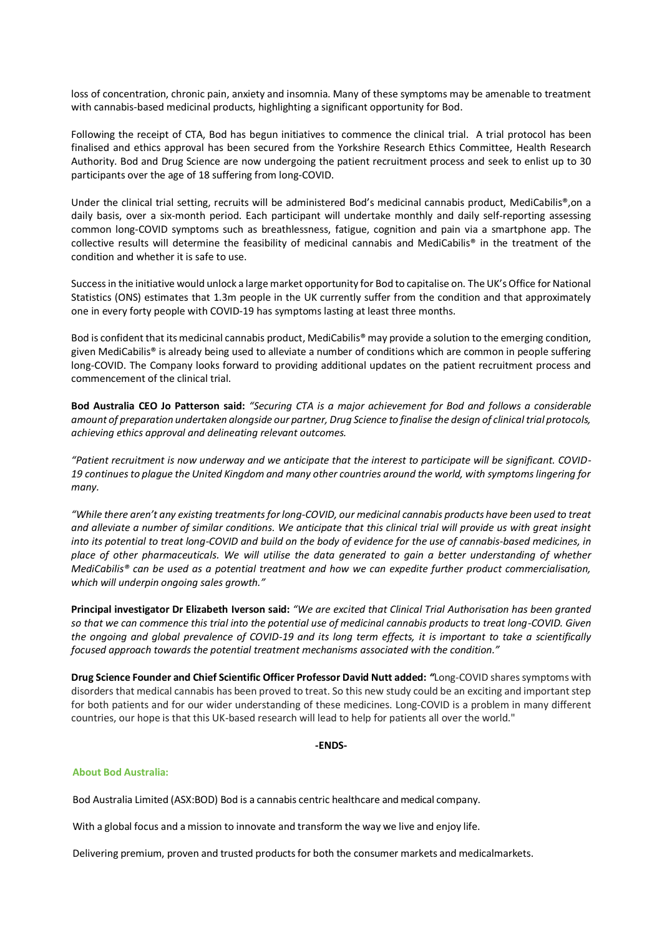loss of concentration, chronic pain, anxiety and insomnia. Many of these symptoms may be amenable to treatment with cannabis-based medicinal products, highlighting a significant opportunity for Bod.

Following the receipt of CTA, Bod has begun initiatives to commence the clinical trial. A trial protocol has been finalised and ethics approval has been secured from the Yorkshire Research Ethics Committee, Health Research Authority. Bod and Drug Science are now undergoing the patient recruitment process and seek to enlist up to 30 participants over the age of 18 suffering from long-COVID.

Under the clinical trial setting, recruits will be administered Bod's medicinal cannabis product, MediCabilis®,on a daily basis, over a six-month period. Each participant will undertake monthly and daily self-reporting assessing common long-COVID symptoms such as breathlessness, fatigue, cognition and pain via a smartphone app. The collective results will determine the feasibility of medicinal cannabis and MediCabilis® in the treatment of the condition and whether it is safe to use.

Success in the initiative would unlock a large market opportunity for Bod to capitalise on. The UK's Office for National Statistics (ONS) estimates that 1.3m people in the UK currently suffer from the condition and that approximately one in every forty people with COVID-19 has symptoms lasting at least three months.

Bod is confident that its medicinal cannabis product, MediCabilis® may provide a solution to the emerging condition, given MediCabilis® is already being used to alleviate a number of conditions which are common in people suffering long-COVID. The Company looks forward to providing additional updates on the patient recruitment process and commencement of the clinical trial.

**Bod Australia CEO Jo Patterson said:** *"Securing CTA is a major achievement for Bod and follows a considerable amount of preparation undertaken alongside our partner, Drug Science to finalise the design of clinical trial protocols, achieving ethics approval and delineating relevant outcomes.* 

*"Patient recruitment is now underway and we anticipate that the interest to participate will be significant. COVID-19 continues to plague the United Kingdom and many other countries around the world, with symptoms lingering for many.* 

*"While there aren't any existing treatments for long-COVID, our medicinal cannabis products have been used to treat and alleviate a number of similar conditions. We anticipate that this clinical trial will provide us with great insight into its potential to treat long-COVID and build on the body of evidence for the use of cannabis-based medicines, in place of other pharmaceuticals. We will utilise the data generated to gain a better understanding of whether MediCabilis® can be used as a potential treatment and how we can expedite further product commercialisation, which will underpin ongoing sales growth."* 

**Principal investigator Dr Elizabeth Iverson said:** *"We are excited that Clinical Trial Authorisation has been granted so that we can commence this trial into the potential use of medicinal cannabis products to treat long-COVID. Given the ongoing and global prevalence of COVID-19 and its long term effects, it is important to take a scientifically focused approach towards the potential treatment mechanisms associated with the condition."*

**Drug Science Founder and Chief Scientific Officer Professor David Nutt added:** *"*Long-COVID shares symptoms with disorders that medical cannabis has been proved to treat. So this new study could be an exciting and important step for both patients and for our wider understanding of these medicines. Long-COVID is a problem in many different countries, our hope is that this UK-based research will lead to help for patients all over the world."

## **-ENDS-**

## **About Bod Australia:**

Bod Australia Limited (ASX:BOD) Bod is a cannabis centric healthcare and medical company.

With a global focus and a mission to innovate and transform the way we live and enjoy life.

**ENDS-**<br> **ENDS-**<br>
Bod Australia Limited (ASX:BOD) Bod is a cannabis centric healthcare and medical company.<br>
With a global focus and a mission to innovate and transform the way we live and enjoy life.<br>
Delivering premium,